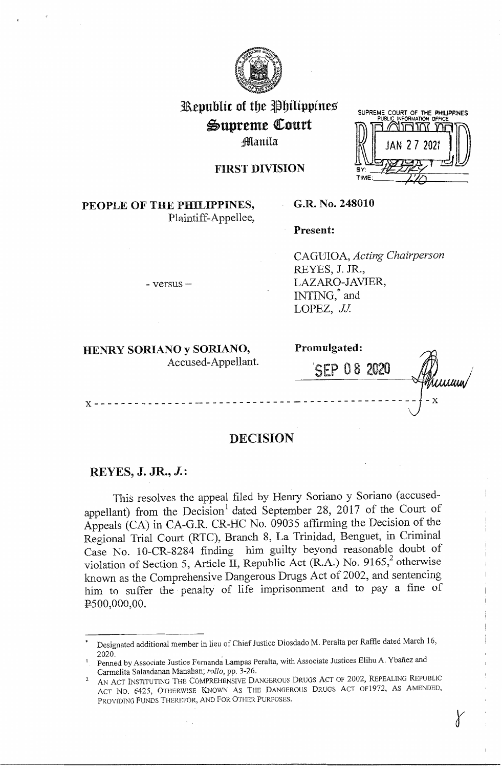

# 31\epublic of tbe t)bilippines  $\mathfrak{S}$ upreme Court ;1Manila



# FIRST DIVISION

# **PEOPLE OF THE PHILIPPINES,**  Plaintiff-Appellee,

### **G.R. No. 248010**

**Present:** 

CAGlJIOA, *Acting Chairperson*  REYES, J. JR., LAZARO-JAVIER, INTING, and LOPEZ, *JJ.* 

**HENRY SORIANO y SORIANO,** 

- versus -

| HENRY SORIANO y SORIANO, | Promulgated: |        |
|--------------------------|--------------|--------|
| Accused-Appellant.       | SEP 08 2020  | Truuuw |
|                          |              |        |

r

# **DECISION**

# **REYES, J. JR., J.:**

This resolves the appeal filed by Henry Soriano y Soriano ( accusedappellant) from the Decision<sup>1</sup> dated September 28, 2017 of the Court of Appeals (CA) in CA-G.R. CR-HC No. 09035 affirming the Decision of the Regional Trial Court (RTC), Branch 8, La Trinidad, Benguet, in Criminal Case No. 1 0-CR-8284 finding him guilty beyond reasonable doubt of violation of Section 5, Article II, Republic Act (R.A.) No. 9165,<sup>2</sup> otherwise known as the Comprehensive Dangerous Drugs Act of 2002, and sentencing him to suffer the penalty of life imprisonment and to pay a fine of PS00,000,00.

Designated additional member in lieu of Chief Justice Diosdado M. Peralta per Raffle dated March 16, 2020.

Penned by Associate Justice Fernanda Lampas Peralta, with Associate Justices Elihu A. Ybanez and Carmelita Saiandanan Manahan; *rollo,* pp. 3-26.

<sup>2</sup>AN ACT INSTITUTING THE COMPREHENSIVE DANGEROUS DRUGS ACT OF 2002, REPEALING REPUBLIC ACT NO. 6425, OTHERWISE KNOWN AS THE DANGEROUS DRUGS ACT OF1972, AS AMENDED, PROVIDING FUNDS THEREFOR, AND FOR OTHER PURPOSES.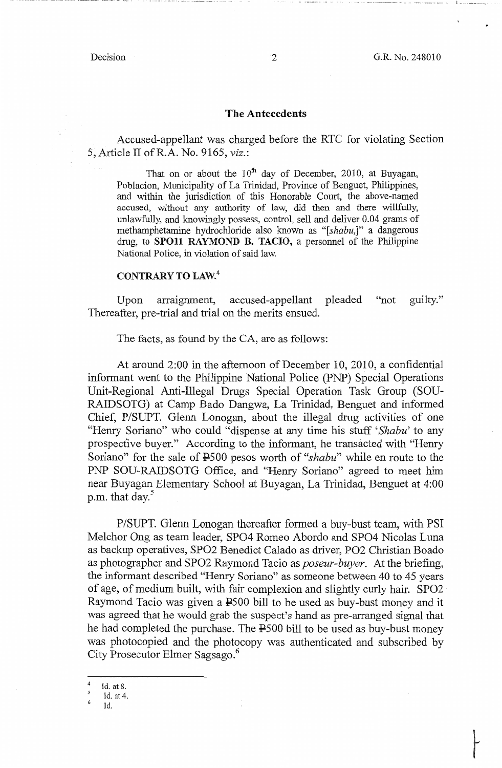--··· -----··----·--·--·· ..... - ··--- -~-·-··-·· -··. ~ -

### **The Antecedents**

Accused-appellant was charged before the RTC for violating Section 5, Article II ofR.A. No. 9165, *viz.:* 

That on or about the  $10^{th}$  day of December, 2010, at Buyagan, Poblacion, Municipality of La Trinidad, Province of Benguet, Philippines, and within the jurisdiction of this Honorable Court, the above-named accused, without any authority of law, did then and there willfully, unlawfully, and knowingly possess, control, sell and deliver 0.04 grams of methamphetamine hydrochloride also known as "[shabu,]" a dangerous drug, to **SPO11 RAYMOND B. TACIO, a** personnel of the Philippine National Police, in violation of said law.

# **CONTRARY TO LAW.<sup>4</sup>**

Upon arraignment, accused-appellant pleaded "not guilty." Thereafter, pre-trial and trial on the merits ensued.

The facts, as found by the CA, are as follows:

At around 2:00 in the afternoon of December 10, 2010, a confidential informant went to the Philippine National Police (PNP) Special Operations Unit-Regional Anti-Illegal Drugs Special Operation Task Group (SOU-RAIDSOTG) at Camp Bado Dangwa, La Trinidad, Benguet and informed Chief, P/SUPT. Glenn Lonogan, about the illegal drug activities of one "Henry Soriano" who could "dispense at any time his stuff *'Shabu'* to any prospective buyer." According to the informant, he transacted with "Henry Soriano" for the sale of PSOO pesos worth of *"shabu"* while en route to the PNP SOU-RAIDSOTG Office, and "Henry Soriano" agreed to meet him near Buyagan Elementary School at Buyagan, La Trinidad, Benguet at 4:00 p.m. that day.<sup>5</sup>

P/SUPT. Glenn Lonogan thereafter formed a buy-bust team, with PSI Melchor Ong as team leader, SPO4 Romeo Abordo and SPO4 Nicolas Luna as backup operatives, SPO2 Benedict Calado as driver, PO2 Christian Boado as photographer and SPO2 Raymond Tacio as *poseur-buyer.* At the briefing, the informant described "Henry Soriano" as someone between 40 to 45 years of age, of medium built, with fair complexion and slightly curly hair. SPO2 Raymond Tacio was given a P500 bill to be used as buy-bust money and it was agreed that he would grab the suspect's hand as pre-arranged signal that he had completed the purchase. The P500 bill to be used as buy-bust money was photocopied and the photocopy was authenticated and subscribed by City Prosecutor Elmer Sagsago. <sup>6</sup>

 $rac{4}{5}$  Id. at 8.

Id. at 4.

 $\epsilon$ Id.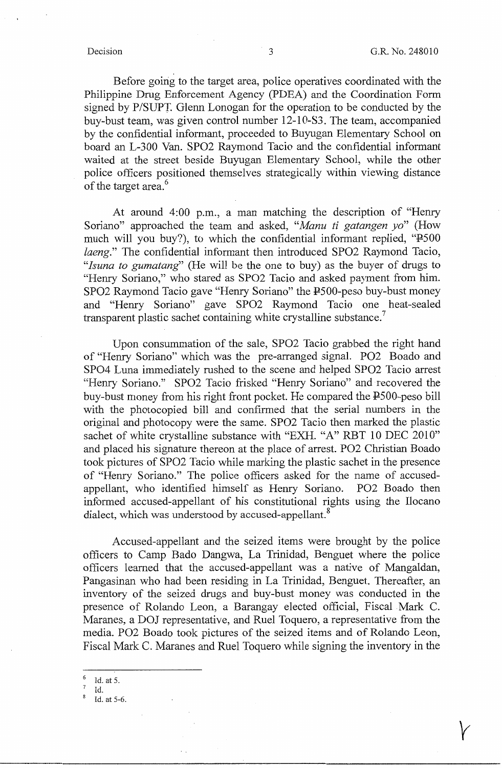Before going to the target area, police operatives coordinated with the Philippine Drug Enforcement Agency (PDEA) and the Coordination Form signed by P/SUPT. Glenn Lonogan for the operation to be conducted by the buy-bust team, was given control number 12-1 0-S3. The team, accompanied by the confidential informant, proceeded to Buyugan Elementary School on board an L-3 00 Van. SPO2 Raymond Tacio and the confidential informant waited at the street beside Buyugan Elementary School, while the other police officers positioned themselves strategically within viewing distance of the target area.<sup>6</sup>

At around 4:00 p.m., a man matching the description of "Henry Soriano" approached the team and asked, *"Manu ti gatangen yo"* (How much will you buy?), to which the confidential informant replied, "P500 *laeng."* The confidential informant then introduced SPO2 Raymond Tacio, *"lsuna to gumatang'* (He will be the one to buy) as the buyer of drugs to "Henry Soriano," who stared as SPO2 Tacio and asked payment from him. SPO2 Raymond Tacio gave "Henry Soriano" the P500-peso buy-bust money and "Henry Soriano" gave SPO2 Raymond Tacio one heat-sealed transparent plastic sachet containing white crystalline substance.<sup>7</sup>

Upon consummation of the sale, SPO2 Tacio grabbed the right hand of "Henry Soriano'' which was the pre-arranged signal. PO2 Boado and SPO4 Luna immediately rushed to the scene and helped SPO2 Tacio arrest "Henry Soriano." SPO2 Tacio frisked "Henry Soriano" and recovered the buy-bust money from his right front pocket. He compared the P500-peso bill with the photocopied bill and confirmed that the serial numbers in the original and photocopy were the same. SPO2 Tacio then marked the plastic sachet of white crystalline substance with "EXH. "A" RBT 10 DEC 2010" and placed his signature thereon at the place of arrest. PO2 Christian Boado took pictures of SPO2 Tacio while marking the plastic sachet in the presence of "Henry Soriano." The police officers asked for the name of accusedappellant, who identified himself as Henry Soriano. PO2 Boado then informed accused-appellant of his constitutional rights using the Ilocano dialect, which was understood by accused-appellant.<sup>8</sup>

Accused-appellant and the seized items were brought by the police officers to Camp Bado Dangwa, La Trinidad, Benguet where the police officers learned that the accused-appellant was a native of Mangaldan, Pangasinan who had been residing in La Trinidad, Benguet. Thereafter, an inventory of the seized drugs and buy-bust money was conducted in the presence of Rolando Leon, a Barangay elected official, Fiscal Mark C. Maranes, a DOJ representative, and Ruel Toquero, a representative from the media. PO2 Boado took pictures of the seized items and of Rolando Leon, Fiscal Mark C. Maranes and Ruel Toquero while signing the inventory in the

 $6$  ld. at 5.

Id.<br>Id. at 5-6.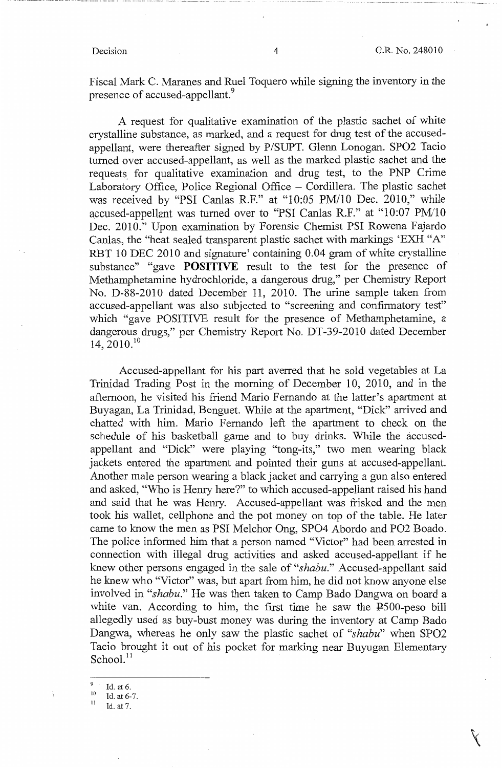Fiscal Mark C. Maranes and Ruel Toquero while signing the inventory in the presence of accused-appellant.<sup>9</sup>

A request for qualitative examination of the plastic sachet of white crystalline substance, as marked, and a request for drug test of the accusedappellant, were thereafter signed by P/SUPT. Glenn Lonogan. SPO2 Tacio turned over accused-appellant, as well as the marked plastic sachet and the requests, for qualitative examination and drug test, to the PNP Crime Laboratory Office, Police Regional Office – Cordillera. The plastic sachet was received by "PSI Canlas R.F." at "10:05 PM/10 Dec. 2010," while accused-appellant was turned over to "PSI Canlas R.F." at "10:07 PM/10 Dec. 2010." Upon examination by Forensic Chemist PSI Rowena Fajardo Canlas, the "heat sealed transparent plastic sachet with markings 'EXH "A" RBT 10 DEC 2010 and signature' containing 0.04 gram of white crystalline substance" "gave **POSITIVE** result to the test for the presence of Methamphetamine hydrochloride, a dangerous drug," per Chemistry Report No. D-88-2010 dated December 11, 2010. The urine sample taken from accused-appellant was also subjected to "screening and confirmatory test" which "gave POSITIVE result for the presence of Methamphetamine, a dangerous drugs," per Chemistry Report No. DT-39-2010 dated December 14, 2010. <sup>10</sup>

Accused-appellant for his part averred that he sold vegetables at La Trinidad Trading Post in the morning of December 10, 2010, and in the afternoon, he visited his friend Mario Fernando at the latter's apartment at Buyagan, La Trinidad, Benguet. While at the apartment, "Dick'' arrived and chatted with him. Mario Fernando left the apartment to check on the schedule of his basketball game and to buy drinks. While the accusedappellant and "Dick" were playing "tong-its," two men wearing black jackets entered the apartment and pointed their guns at accused-appellant. Another male person wearing a black jacket and carrying a gun also entered and asked, "Who is Henry here?" to which accused-appellant raised his hand and said that he was Henry. Accused-appellant was frisked and the men took his wallet, cellphone and the pot money on top of the table. He later came to know the men as PSI Melchor Ong, SPO4 Abordo and PO2 Boado. The police informed him that a person named "Victor" had been arrested in connection with illegal drug activities and asked accused-appellant if he knew other persons engaged in the sale of *"shabu."* Accused-appellant said he knew who "Victor" was, but apart from him, he did not know anyone else involved in *"shabu."* He was then taken to Camp Bado Dangwa on board a white van. According to him, the first time he saw the P500-peso bill allegedly used as buy-bust money was during the inventory at Camp Bado Dangwa, whereas he only saw the plastic sachet of *"shabu"* when SPO2 Tacio brought it out of his pocket for marking near Buyugan Elementary  $School.<sup>11</sup>$ 

<sup>&</sup>lt;sup>9</sup> Id. at 6.<br><sup>10</sup> Id. at 6-7.<br><sup>11</sup> Id. at 7.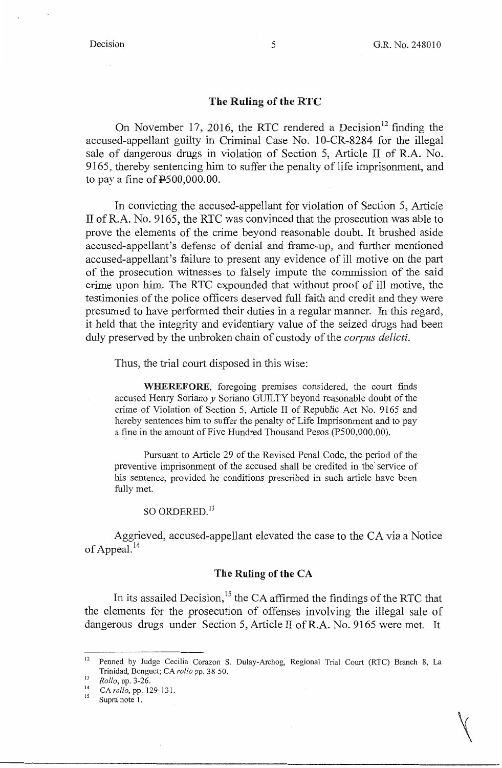$\bigvee$ 

### **The Ruling of the RTC**

On November 17, 2016, the RTC rendered a Decision<sup>12</sup> finding the accused-appellant guilty in Criminal Case No. 10-CR-8284 for the illegal sale of dangerous drugs in violation of Section 5, Article II of R.A. No. 9165, thereby sentencing him to suffer the penalty of life imprisonment, and to pay a fine of  $\text{\texttt{P}}500,000.00$ .

In convicting the accused-appellant for violation of Section 5, Article II of R.A. No. 9165, the RTC was convinced that the prosecution was able to prove the elements of the crime beyond reasonable doubt. It brushed aside accused-appellant's defense of denial and frame-up, and further mentioned accused-appellant's failure to present any evidence of ill motive on the part of the prosecution witnesses to falsely impute the commission of the said crime upon him. The RTC expounded that without proof of ill motive, the testimonies of the police officers deserved full faith and credit and they were presumed to have performed their duties in a regular manner. In this regard, it held that the integrity and evidentiary value of the seized drugs had been duly preserved by the unbroken chain of custody of the *corpus delicti.* 

Thus, the trial court disposed in this wise:

**WHEREFORE,** foregoing premises considered, the court finds accused Hemy Soriano *y* Soriano GUILTY beyond reasonable doubt of the crime of Violation of Section 5, Article II of Republic Act No. 9165 and hereby sentences him to suffer the penalty of Life Imprisonment and to pay a fine in the amount of Five Hundred Thousand Pesos (P500,000.00).

Pursuant to Article 29 of the Revised Penal Code, the period of the preventive imprisonment of the accused shall be credited in the' service of his sentence, provided he conditions prescribed in such article have been fully met.

## SO ORDERED.<sup>13</sup>

Aggrieved, accused-appellant elevated the case to the CA via a Notice of Appeal. $^{14}$ 

### **The Ruling of the CA**

In its assailed Decision,<sup>15</sup> the CA affirmed the findings of the RTC that the elements for the prosecution of offenses involving the illegal sale of dangerous drugs under Section 5, Article II ofR.A. No. 9165 were met. It

<sup>&</sup>lt;sup>12</sup> Penned by Judge Cecilia Corazon S. Dulay-Archog, Regional Trial Court (RTC) Branch 8, La Trinidad, Benguet; CA *rollo* pp, 38-50,

<sup>13</sup> *Rollo*, pp. 3-26.<br><sup>14</sup> CA *rollo*, pp. 129-131,

Supra note 1.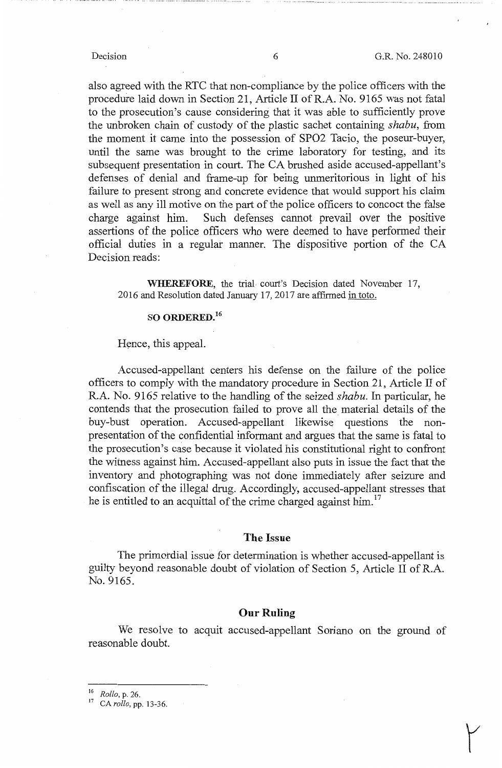also agreed with the RTC that non-compliance by the police officers with the procedure laid down in Section 21, Article II of R.A. No. 9165 was not fatal to the prosecution's cause considering that it was able to sufficiently prove the unbroken chain of custody of the plastic sachet containing *shabu,* from the moment it came into the possession of SP02 Tacio, the poseur-buyer, until the same was brought to the crime laboratory for testing, and its subsequent presentation in court. The CA brushed aside accused-appellant's defenses of denial and frame-up for being unmeritorious in light of his failure to present strong and concrete evidence that would support his claim as well as any ill motive on the part of the police officers to concoct the false charge against him. Such defenses cannot prevail over the positive assertions of the police officers who were deemed to have performed their official duties in a regular manner. The dispositive portion of the CA Decision reads:

**WHEREFORE,** the trial court's Decision dated November 17, 2016 and Resolution dated January 17, 2017 are affirmed in toto.

### **SO ORDERED.<sup>16</sup>**

#### Hence, this appeal.

Accused-appellant centers his defense on the failure of the police officers to comply with the mandatory procedure in Section 21, Article II of R.A. No. 9165 relative to the handling of the seized *shabu.* In particular, he contends that the prosecution failed to prove all the material details of the buy-bust operation. Accused-appellant likewise questions the nonpresentation of the confidential informant and argues that the same is fatal to the prosecution's case because it violated his constitutional right to confront the witness against him. Accused-appellant also puts in issue the fact that the inventory and photographing was not done immediately after seizure and confiscation of the illegal drug. Accordingly, accused-appellant stresses that he is entitled to an acquittal of the crime charged against him.<sup>17</sup>

#### **The Issue**

The primordial issue for determination is whether accused-appellant is guilty beyond reasonable doubt of violation of Section 5, Article II of R.A. No. 9165.

#### **Our Ruling**

We resolve to acquit accused-appellant Soriano on the ground of reasonable doubt.

<sup>16</sup>*Rollo,* p. 26. 17 CA *rollo,* pp. 13-36.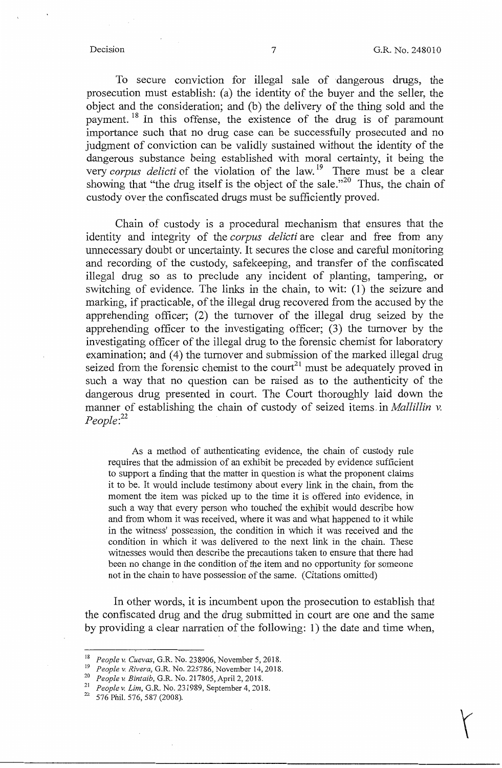To secure conviction for illegal sale of dangerous drugs, the prosecution must establish: (a) the identity of the buyer and the seller, the object and the consideration; and (b) the delivery of the thing sold and the payment.<sup>18</sup> In this offense, the existence of the drug is of paramount importance such that no drug case can be successfully prosecuted and no judgment of conviction can be validly sustained without the identity of the dangerous substance being established with moral certainty, it being the very *corpus delicti* of the violation of the law.<sup>19</sup> There must be a clear showing that "the drug itself is the object of the sale."<sup>20</sup> Thus, the chain of custody over the confiscated drugs must be sufficiently proved.

Chain of custody is a procedural mechanism that ensures that the identity and integrity of the *corpus delicti* are clear and free from any unnecessary doubt or uncertainty. It secures the close and careful monitoring and recording of the custody, safekeeping, and transfer of the confiscated illegal drug so as to preclude any incident of planting, tampering, or switching of evidence. The links in the chain, to wit: (1) the seizure and marking, if practicable, of the illegal drug recovered from the accused by the apprehending officer; (2) the turnover of the illegal drug seized by the apprehending officer to the investigating officer; (3) the turnover by the investigating officer of the illegal drug to the forensic chemist for laboratory examination; and (4) the turnover and submission of the marked illegal drug seized from the forensic chemist to the court<sup>21</sup> must be adequately proved in such a way that no question can be raised as to the authenticity of the dangerous drug presented in court. The Court thoroughly laid down the manner of establishing the chain of custody of seized items in *Mallillin v. People:*<sup>22</sup>

As a method of authenticating evidence, the chain of custody rule requires that the admission of an exhibit be preceded by evidence sufficient to support a finding that the matter in question is what the proponent claims it to be. It would include testimony about every link in the chain, from the moment the item was picked up to the time it is offered into evidence, in such a way that every person who touched the exhibit would describe how and from whom it was received, where it was and what happened to it while in the witness' possession, the condition in which it was received and the condition in which it was delivered to the next link in the chain. These witnesses would then describe the precautions taken to ensure that there had been no change in the condition of the item and no opportunity for someone not in the chain to have possession of the same. (Citations omitted)

In other words, it is incumbent upon the prosecution to establish that the confiscated drug and the drug submitted in court are one and the same by providing a clear narration of the following: 1) the date and time when,

<sup>&</sup>lt;sup>18</sup> People v. Cuevas, G.R. No. 238906, November 5, 2018.<br><sup>19</sup> People v. Rivera, G.R. No. 225786, November 14, 2018.

<sup>&</sup>lt;sup>20</sup> People *v. Bintaib*, G.R. No. 217805, April 2, 2018.<br><sup>21</sup> People *v. Lim*, G.R. No. 231989, September 4, 2018.<br><sup>22</sup> 576 Phil. 576, 587 (2008).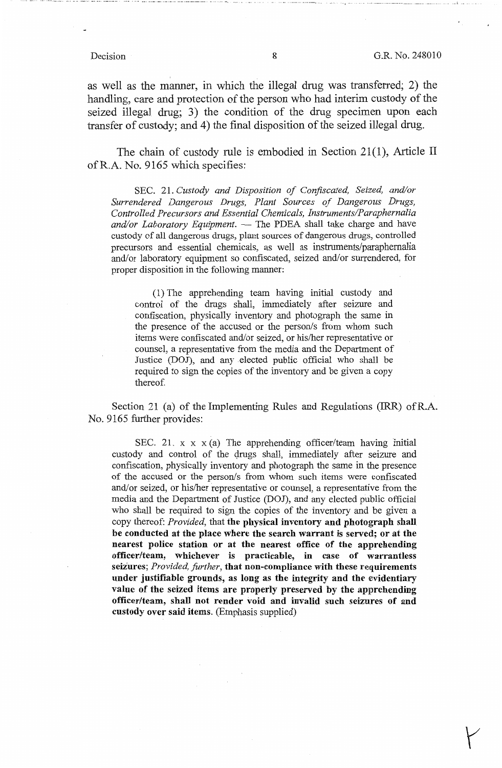as well as the manner, in which the illegal drug was transferred; 2) the handling, care and protection of the person who had interim custody of the seized illegal drug; 3) the condition of the drug specimen upon each transfer of custody; and 4) the final disposition of the seized illegal drug.

The chain of custody rule is embodied in Section 21(1), Article II ofR.A. No. 9165 which specifies:

SEC. 21. *Custody and Disposition of Confiscated, Seized, and/or Surrendered Dangerous Drugs, Plant Sources of Dangerous Drugs, Controlled Precursors and Essential Chemicals, Instruments/Paraphernalia*  and/or Laboratory Equipment. - The PDEA shall take charge and have custody of all dangerous drugs, plant sources of dangerous drugs, controlled precursors and essential chemicals, as well as instruments/paraphernalia and/or laboratory equipment so confiscated, seized and/or surrendered, for proper disposition in the following manner:

(1) The apprehending team having initial custody and control of the drugs shall, immediately after seizure and confiscation, physically inventory and photograph the same in the presence of the accused or the person/s from whom such items were confiscated and/or seized, or his/her representative or counsel, a representative from the media and the Department of Justice (DOJ), and any elected public official who shall be required to sign the copies of the inventory and be given a copy thereof.

Section 21 (a) of the Implementing Rules and Regulations (IRR) of R.A. No. 9165 further provides:

SEC. 21.  $x \times x$  (a) The apprehending officer/team having initial custody and control of the drugs shall, immediately after seizure and confiscation, physically inventory and photograph the same in the presence of the accused or the person/s from whom such items were confiscated and/or seized, or his/her representative or counsel, a representative from the media and the Department of Justice (DOJ), and any elected public official who shall be required to sign the copies of the inventory and be given a copy thereof: *Provided,* that **the physical inventory and photograph shall be conducted at the place where the search warrant is served; or at the nearest police station or at the nearest office of the apprehending officer/team, whichever is practicable, in case of warrantless seizures;** *Provided, further,* **that non-compliance with these requirements under justifiable grounds, as long as the integrity and the evidentiary value of the seized items are properly preserved by the apprehending officer/team, shall not render void and invalid such seizures of and custody over said items.** (Emphasis supplied)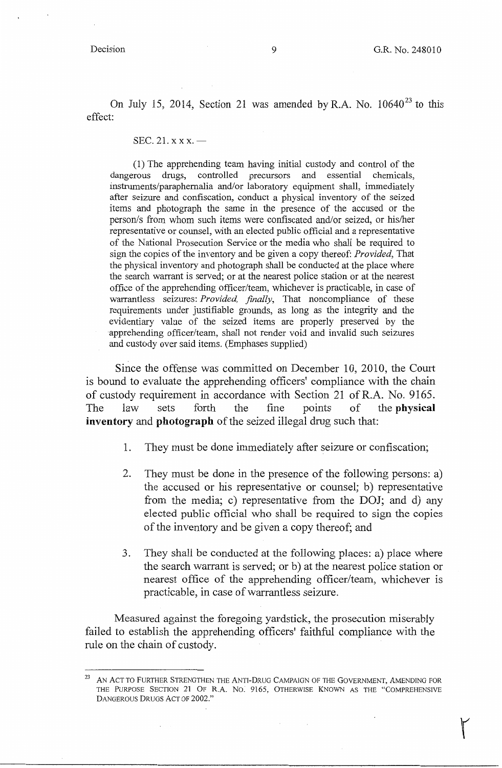On July 15, 2014, Section 21 was amended by R.A. No.  $10640^{23}$  to this effect:

SEC. 21.  $x x x \rightarrow$ 

(1) The apprehending team having initial custody and control of the dangerous drugs, controlled precursors and essential chemicals, instruments/paraphernalia and/or laboratory equipment shall, immediately after seizure and confiscation, conduct a physical inventory of the seized items and photograph the same in the presence of the accused or the person/s from whom such items were confiscated and/or seized, or his/her representative or counsel, with an elected public official and a representative of the National Prosecution Service or the media who shall be required to sign the copies of the inventory and be given a copy thereof: *Provided,* That the physical inventory and photograph shall be conducted at the place where the search warrant is served; or at the nearest police station or at the nearest office of the apprehending officer/team, whichever is practicable, in case of warrantless seizures: *Provided, finally,* That noncompliance of these requirements under justifiable grounds, as long as the integrity and the evidentiary value of the seized items are properly preserved by the apprehending officer/team, shall not render void and invalid such seizures and custody over said items. (Emphases supplied)

Since the offense was committed on December 10, 2010, the Court is bound to evaluate the apprehending officers' compliance with the chain of custody requirement in accordance with Section 21 ofR.A. No. 9165. The law sets forth the fine points of the **physical inventory and photograph** of the seized illegal drug such that:

- l. They must be done immediately after seizure or confiscation;
- 2. They must be done in the presence of the following persons: a) the accused or his representative or counsel; b) representative from the media; c) representative from the DOJ; and d) any elected public official who shall be required to sign the copies of the inventory and be given a copy thereof; and
- 3. They shall be conducted at the following places: a) place where the search warrant is served; or b) at the nearest police station or nearest office of the apprehending officer/team, whichever is practicable, in case of warrantless seizure.

Measured against the foregoing yardstick, the prosecution miserably failed to establish the apprehending officers' faithful compliance with the rule on the chain of custody.

<sup>&</sup>lt;sup>23</sup> AN ACT TO FURTHER STRENGTHEN THE ANTI-DRUG CAMPAIGN OF THE GOVERNMENT, AMENDING FOR THE PURPOSE SECTION 21 OF R.A. No: 9165, OTHERWISE KNOWN AS THE "COMPREHENSIVE DANGEROUS DRUGS ACT OF 2002."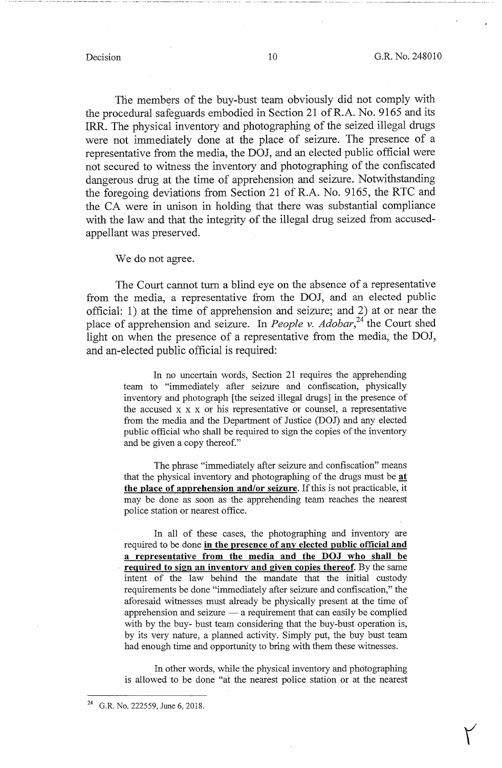The members of the buy-bust team obviously did not comply with the procedural safeguards embodied in Section 21 ofR.A. No. 9165 and its IRR. The physical inventory and photographing of the seized illegal drugs were not immediately done at the place of seizure. The presence of a representative from the media, the DOJ, and an elected public official were not secured to witness the inventory and photographing of the confiscated dangerous drug at the time of apprehension and seizure. Notwithstanding the foregoing deviations from Section 21 of R.A. No. 9165, the RTC and the CA were in unison in holding that there was substantial compliance with the law and that the integrity of the illegal drug seized from accusedappellant was preserved.

We do not agree.

The Court cannot turn a blind eye on the absence of a representative from the media, a representative from the DOJ, and an elected public official: 1) at the time of apprehension and seizure; and 2) at or near the place of apprehension and seizure. In *People v. Adobar*,<sup>24</sup> the Court shed light on when the presence of a representative from the media; the DOJ, and an-elected public official is required:

> In no uncertain words, Section 21 requires the apprehending team to "immediately after seizure and confiscation, physically inventory and photograph [the seized illegal drugs] in the presence of the accused x x x or his representative or counsel, a representative from the media and the Department of Justice (DOJ) and any elected public official who shall be required to sign the copies of the inventory and be given a copy thereof."

> The phrase "immediately after seizure and confiscation" means that the physical inventory and photographing of the drugs must be **at the place of apnrehension and/or seizure.** If this is not practicable, it may be done as soon as the apprehending team reaches the nearest police station or nearest office.

> In all of these cases, the photographing and inventory are required to be done **in the presence of anv elected public official and a representative from the media and the DOJ who shall be required to sign an inventory and given copies thereof.** By the same intent of the law behind the mandate that the initial custody requirements be done "immediately after seizure and confiscation," the aforesaid witnesses must already be physically present at the time of apprehension and seizure  $-$  a requirement that can easily be complied with by the buy- bust team considering that the buy-bust operation is, by its very nature, a planned activity. Simply put, the buy bust team had enough time and opportunity to bring with them these witnesses.

> In other words, while the physical inventory and photographing is allowed to be done "at the nearest police station or at the nearest

<sup>24</sup> G.R. No. 222559, June 6, 2018.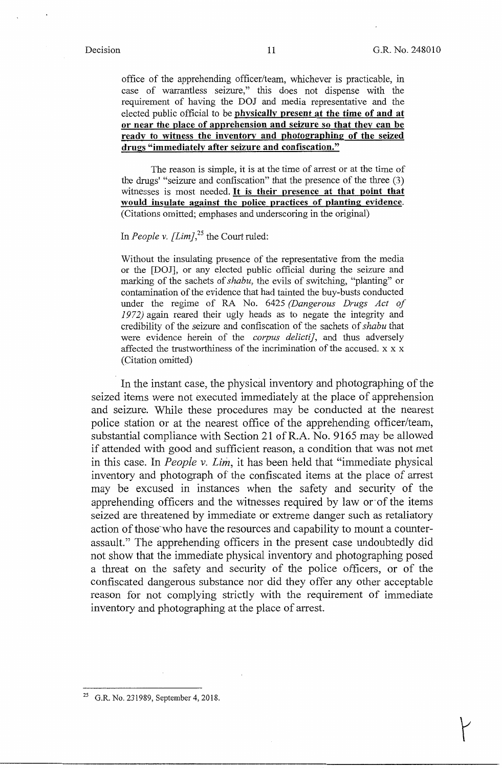office of the apprehending officer/team, whichever is practicable, in case of warrantless seizure," this does not dispense with the requirement of having the DOJ and media representative and the elected public official to be **physically present at the time of and at or near the place of apprehension and seizure so that they can be ready to witness the inventorv and photographing of the seized drugs "immediately after seizure and confiscation."** 

The reason is simple, it is at the time of arrest or at the time of the drugs' "seizure and confiscation" that the presence of the three (3) witnesses is most needed. It is **their presence at that point that would insulate against the police practices of planting evidence.**  (Citations omitted; emphases and underscoring in the original)

# In *People v.* [Lim]<sup>25</sup> the Court ruled:

Without the insulating presence of the representative from the media or the [DOJ], or any elected public official during the seizure and marking of the sachets of *shabu,* the evils of switching, "planting" or contamination of the evidence that had tainted the buy-busts conducted under the regime of RA No. 6425 *(Dangerous Drugs Act of 1972)* again reared their ugly heads as to negate the integrity and credibility of the seizure and confiscation of the sachets of *shabu* that were evidence herein of the *corpus delicti},* and thus adversely affected the trustworthiness of the incrimination of the accused. x x x (Citation omitted)

In the instant case, the physical inventory and photographing of the seized items were not executed immediately at the place of apprehension and seizure. While these procedures may be conducted at the nearest police station or at the nearest office of the apprehending officer/team, substantial compliance with Section 21 ofR.A. No. 9165 may be allowed if attended with good and sufficient reason, a condition that was not met in this case. In *People v. Lim,* it has been held that "immediate physical inventory and photograph of the confiscated items at the place of arrest may be excused in instances when the safety and security of the apprehending officers and the witnesses required by law or·of the items seized are threatened by immediate or extreme danger such as retaliatory action of those who have the resources and capability to mount a counterassault." The apprehending officers in the present case undoubtedly did not show that the immediate physical inventory and photographing posed a threat on the safety and security of the police officers, or of the confiscated dangerous substance nor did they offer any other acceptable reason for not complying strictly with the requirement of immediate inventory and photographing at the place of arrest.

<sup>25</sup> G.R. No. 231989, September 4, 2018.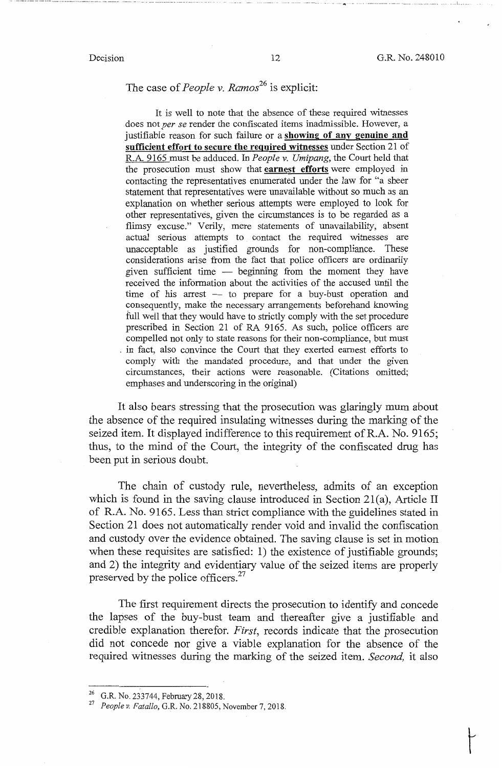.. ·-· """ - ...... --·--·-·-·-- -----· ··--·- --··--·-·-··----

# The case of *People v. Ramos*<sup>26</sup> is explicit:

It is well to note that the absence of these required witnesses does not *per se* render the confiscated items inadmissible. However, a justifiable reason for such failure or a **showing of any genuine and sufficient effort to secure the required witnesses** under Section 21 of R.A. 9165 must be adduced. In *People v. Umipang,* the Court held that the prosecution must show that **earnest efforts** were employed in contacting the representatives enumerated under the law for "a sheer statement that representatives were unavailable without so much as an explanation on whether serious attempts were employed to look for other representatives, given the circumstances is to be regarded as a flimsy excuse." Verily, mere statements of unavailability, absent actual serious attempts to contact the required witnesses are unacceptable as justified grounds for non-compliance. These considerations arise from the fact that police officers are ordinarily given sufficient time  $-$  beginning from the moment they have received the information about the activities of the accused until the time of his arrest - to prepare for a buy-bust operation and consequently, make the necessary arrangements beforehand knowing full well that they would have to strictly comply with the set procedure prescribed in Section 21 of RA 9165. As such, police officers are compelled not only to state reasons for their non-compliance, but must . in fact, also convince the Court that they exerted earnest efforts to comply with the mandated procedure, and that under the given circumstances, their actions were reasonable. (Citations omitted; emphases and underscoring in the original)

It also bears stressing that the prosecution was glaringly mum about the absence of the required insulating witnesses during the marking of the seized item. It displayed indifference to this requirement of R.A. No. 9165; thus, to the mind of the Court, the integrity of the confiscated drug has been put in serious doubt.

The chain of custody rule, nevertheless, admits of an exception which is found in the saving clause introduced in Section 21(a), Article II of R.A. No. 9165. Less than strict compliance with the guidelines stated in Section 21 does not automatically render void and invalid the confiscation and custody over the evidence obtained. The saving clause is set in motion when these requisites are satisfied: 1) the existence of justifiable grounds; and 2) the integrity and evidentiary value of the seized items are properly preserved by the police officers.<sup>27</sup>

The first requirement directs the prosecution to identify and concede the lapses of the buy-bust team and thereafter give a justifiable and credible explanation therefor. *First,* records indicate that the prosecution did not concede nor give a viable explanation for the absence of the required witnesses during the marking of the seized item. *Second,* it also

<sup>26</sup> G.R. No. 233744, February 28, 2018. 27 *People v. Fatallo,* G.R. No. 218805, November 7, 2018.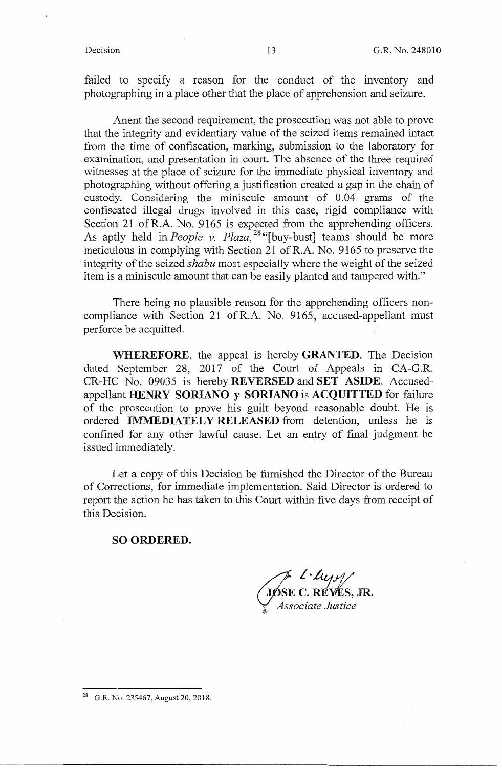failed to specify a reason for the conduct of the inventory and photographing in a place other that the place of apprehension and seizure.

Anent the second requirement, the prosecution was not able to prove that the integrity and evidentiary value of the seized items remained intact from the time of confiscation, marking, submission to the laboratory for examination, and presentation in court. The absence of the three required witnesses at the place of seizure for the immediate physical inventory and photographing without offering a justification created a gap in the chain of custody. Considering the miniscule amount of 0.04 grams of the confiscated illegal drugs involved in this case, rigid compliance with Section 21 ofR.A. No. 9165 is expected from the apprehending officers. As aptly held in *People v. Plaza*,<sup>28</sup> "[buy-bust] teams should be more meticulous in complying with Section 21 ofR.A. No. 9165 to preserve the integrity of the seized *shabu* most especially where the weight of the seized item is a miniscule amount that can be easily planted and tampered with."

There being no plausible reason for the apprehending officers noncompliance with Section 21 of R.A. No. 9165, accused-appellant must perforce be acquitted.

**WHEREFORE,** the appeal is hereby **GRANTED.** The Decision dated September 28, 2017 of the Court of Appeals in CA-G.R. CR-HC No. 09035 is hereby **REVERSED** and **SET ASIDE.** Accusedappellant **HENRY SORIANO y SORIANO** is **ACQUITTED** for failure of the prosecution to prove his guilt beyond reasonable doubt. He is ordered **IMMEDIATELY RELEASED** from detention, unless he is confined for any other lawful cause. Let an entry of final judgment be issued immediately.

Let a copy of this Decision be furnished the Director of the Bureau of Corrections, for immediate implementation. Said Director is ordered to report the action he has taken to this Court within five days from receipt of this Decision.

### **SO ORDERED.**

JOSE C. REYES, JR. , *Associate Justice* 

28 G.R. No. 235467, August 20, 2018.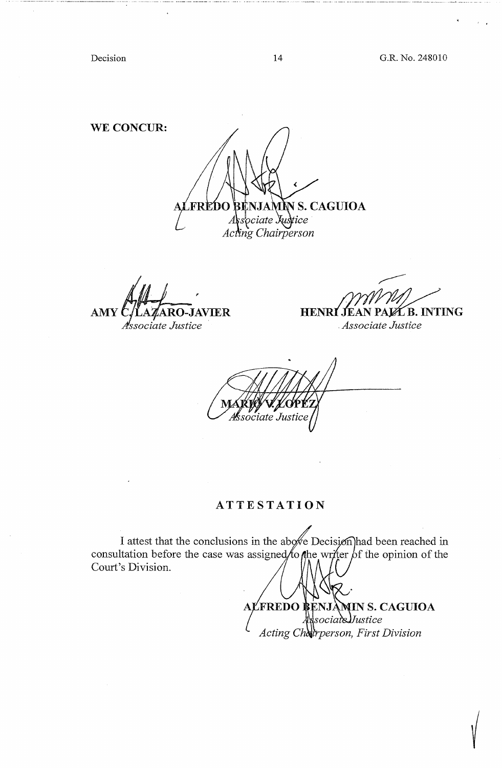------·-----·----- -------------------

Decision 14 G.R. No. 248010

**WE CONCUR:** 

**BENJAMN S. CAGUIOA**<br>*§sociate Justice* **FREDO**  $\it A$ Acting Chairperson

**AMY C/LAZARO-JAVIER HENRI JEAN** Associate Justice

ØĹB. INTING

. *Associate Justice* 

ociate Justice

### **ATTESTATION**

I attest that the conclusions in the above Decision had been reached in consultation before the case was assigned to the writer of the opinion of the Court's Division.

ALFREDO BENJA **MIN S. CAGUIOA**  $\$ sociate $J$ ustice *Acting Charperson, First Division*